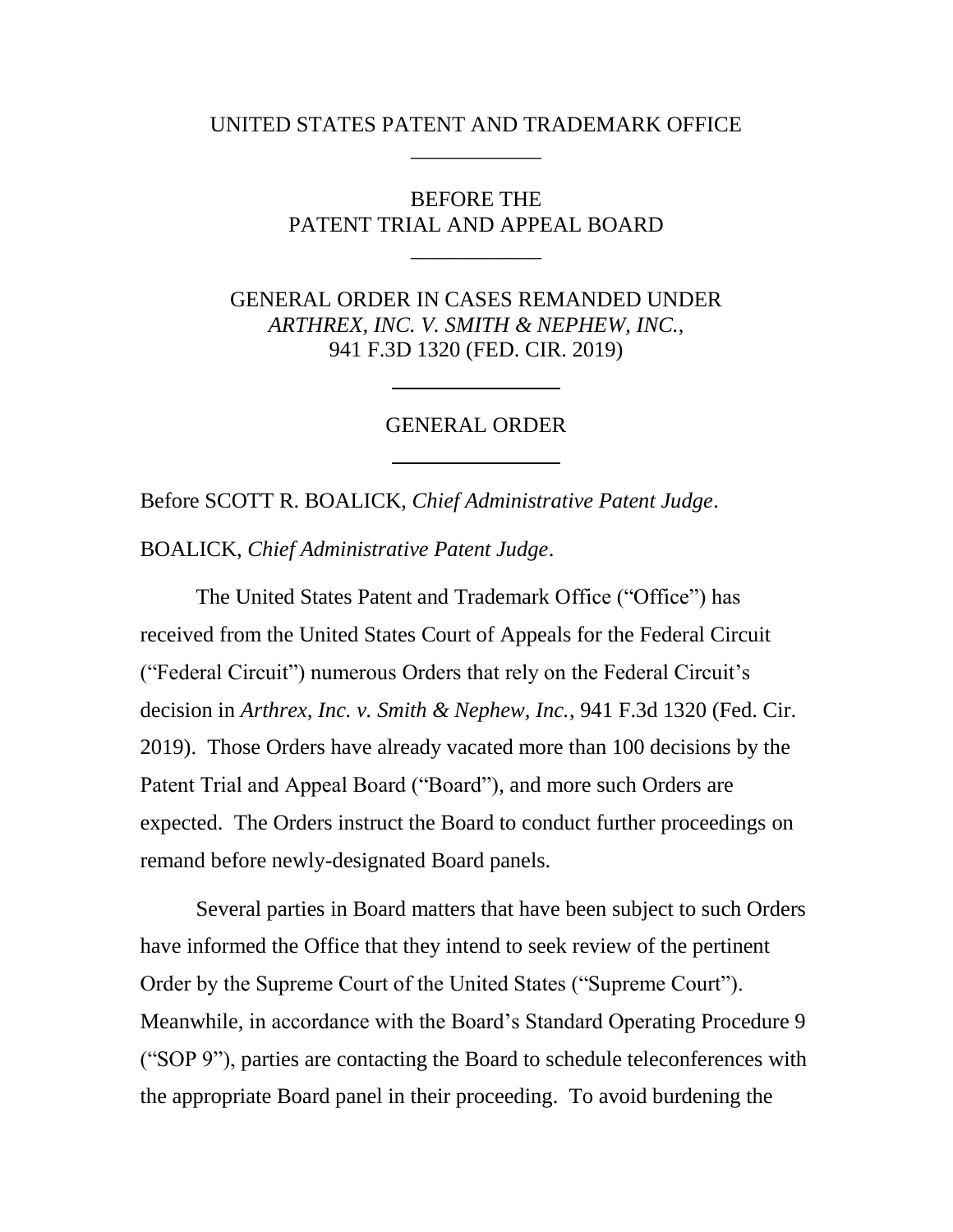### UNITED STATES PATENT AND TRADEMARK OFFICE \_\_\_\_\_\_\_\_\_\_\_\_

## BEFORE THE PATENT TRIAL AND APPEAL BOARD

\_\_\_\_\_\_\_\_\_\_\_\_

GENERAL ORDER IN CASES REMANDED UNDER *ARTHREX, INC. V. SMITH & NEPHEW, INC.*, 941 F.3D 1320 (FED. CIR. 2019)

#### GENERAL ORDER

Before SCOTT R. BOALICK, *Chief Administrative Patent Judge*.

BOALICK, *Chief Administrative Patent Judge*.

The United States Patent and Trademark Office ("Office") has received from the United States Court of Appeals for the Federal Circuit ("Federal Circuit") numerous Orders that rely on the Federal Circuit's decision in *Arthrex, Inc. v. Smith & Nephew, Inc.*, 941 F.3d 1320 (Fed. Cir. 2019). Those Orders have already vacated more than 100 decisions by the Patent Trial and Appeal Board ("Board"), and more such Orders are expected. The Orders instruct the Board to conduct further proceedings on remand before newly-designated Board panels.

Several parties in Board matters that have been subject to such Orders have informed the Office that they intend to seek review of the pertinent Order by the Supreme Court of the United States ("Supreme Court"). Meanwhile, in accordance with the Board's Standard Operating Procedure 9 ("SOP 9"), parties are contacting the Board to schedule teleconferences with the appropriate Board panel in their proceeding. To avoid burdening the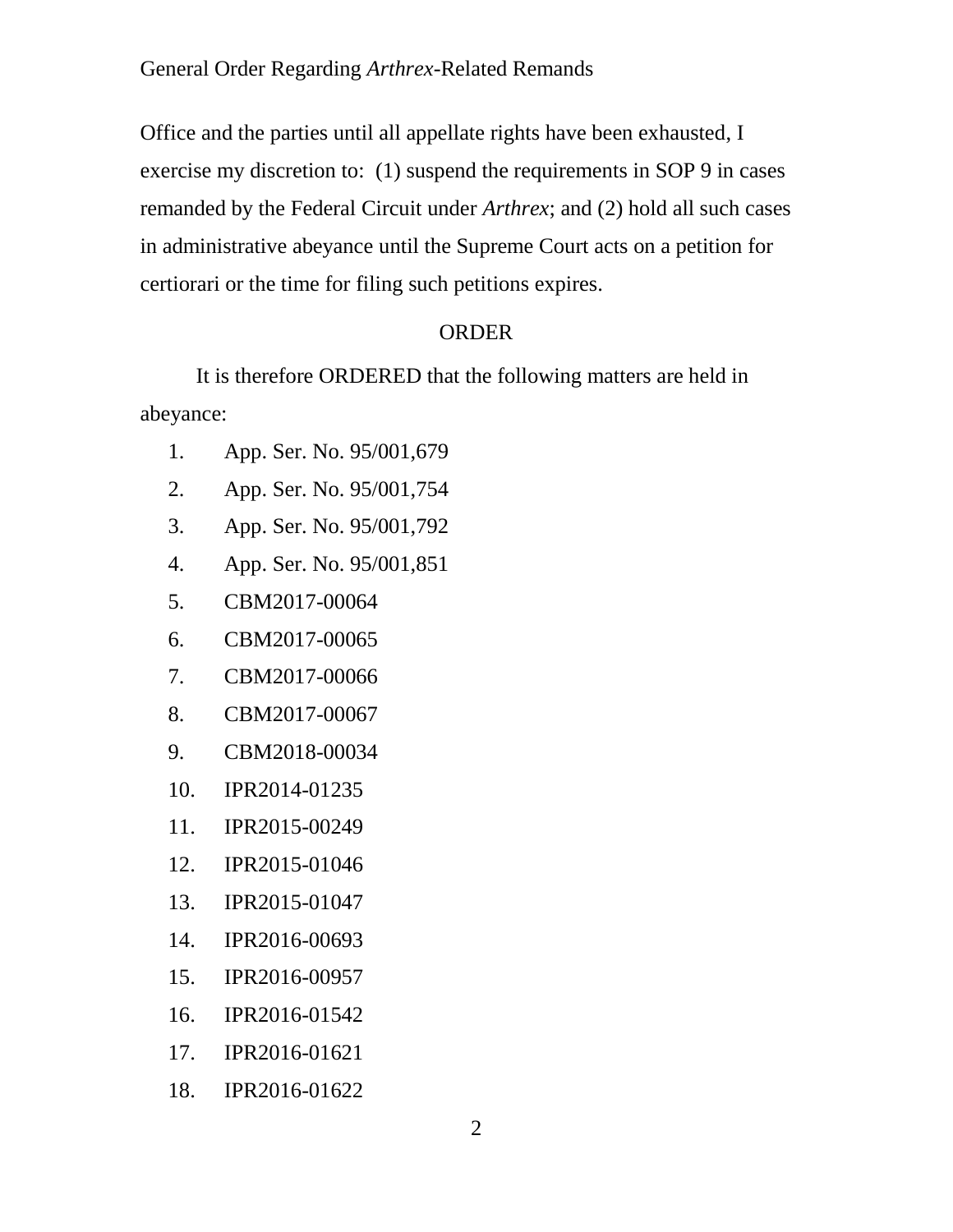### General Order Regarding *Arthrex*-Related Remands

Office and the parties until all appellate rights have been exhausted, I exercise my discretion to: (1) suspend the requirements in SOP 9 in cases remanded by the Federal Circuit under *Arthrex*; and (2) hold all such cases in administrative abeyance until the Supreme Court acts on a petition for certiorari or the time for filing such petitions expires.

# ORDER

It is therefore ORDERED that the following matters are held in abeyance:

- 1. App. Ser. No. 95/001,679
- 2. App. Ser. No. 95/001,754
- 3. App. Ser. No. 95/001,792
- 4. App. Ser. No. 95/001,851
- 5. CBM2017-00064
- 6. CBM2017-00065
- 7. CBM2017-00066
- 8. CBM2017-00067
- 9. CBM2018-00034
- 10. IPR2014-01235
- 11. IPR2015-00249
- 12. IPR2015-01046
- 13. IPR2015-01047
- 14. IPR2016-00693
- 15. IPR2016-00957
- 16. IPR2016-01542
- 17. IPR2016-01621
- 18. IPR2016-01622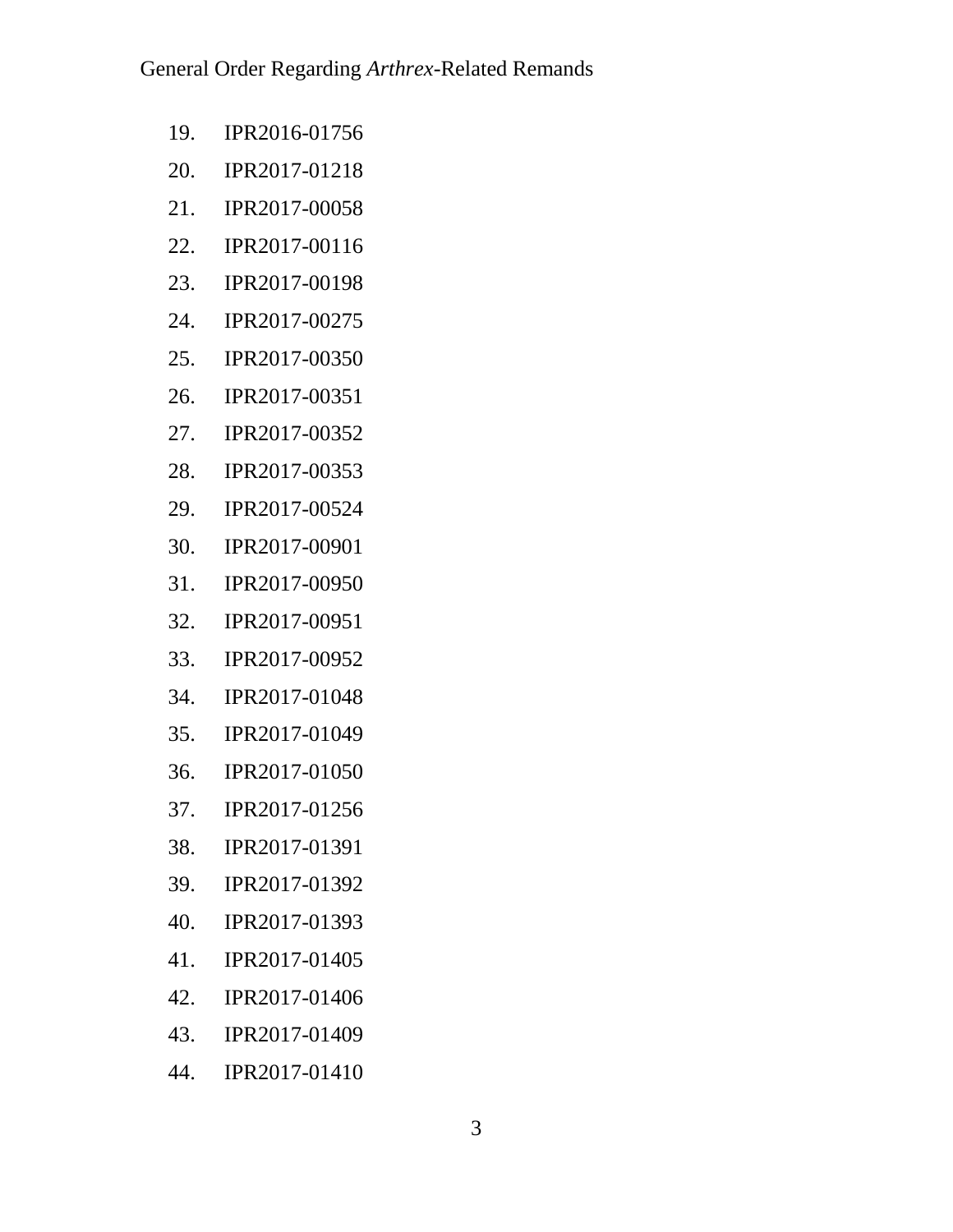- 19. IPR2016-01756
- 20. IPR2017-01218
- 21. IPR2017-00058
- 22. IPR2017-00116
- 23. IPR2017-00198
- 24. IPR2017-00275
- 25. IPR2017-00350
- 26. IPR2017-00351
- 27. IPR2017-00352
- 28. IPR2017-00353
- 29. IPR2017-00524
- 30. IPR2017-00901
- 31. IPR2017-00950
- 32. IPR2017-00951
- 33. IPR2017-00952
- 34. IPR2017-01048
- 35. IPR2017-01049
- 36. IPR2017-01050
- 37. IPR2017-01256
- 38. IPR2017-01391
- 39. IPR2017-01392
- 40. IPR2017-01393
- 41. IPR2017-01405
- 42. IPR2017-01406
- 43. IPR2017-01409
- 44. IPR2017-01410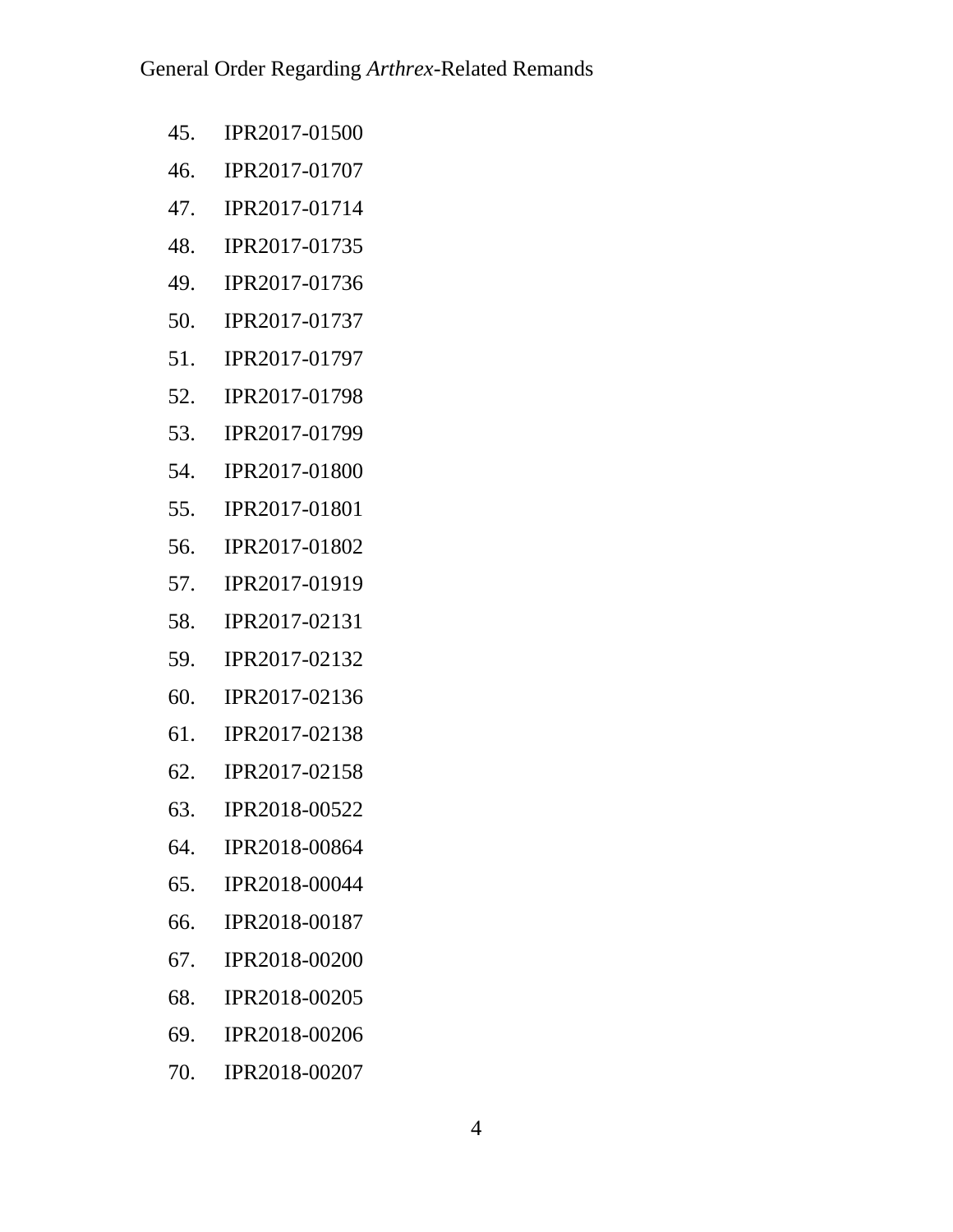- 45. IPR2017-01500
- 46. IPR2017-01707
- 47. IPR2017-01714
- 48. IPR2017-01735
- 49. IPR2017-01736
- 50. IPR2017-01737
- 51. IPR2017-01797
- 52. IPR2017-01798
- 53. IPR2017-01799
- 54. IPR2017-01800
- 55. IPR2017-01801
- 56. IPR2017-01802
- 57. IPR2017-01919
- 58. IPR2017-02131
- 59. IPR2017-02132
- 60. IPR2017-02136
- 61. IPR2017-02138
- 62. IPR2017-02158
- 63. IPR2018-00522
- 64. IPR2018-00864
- 65. IPR2018-00044
- 66. IPR2018-00187
- 67. IPR2018-00200
- 68. IPR2018-00205
- 69. IPR2018-00206
- 70. IPR2018-00207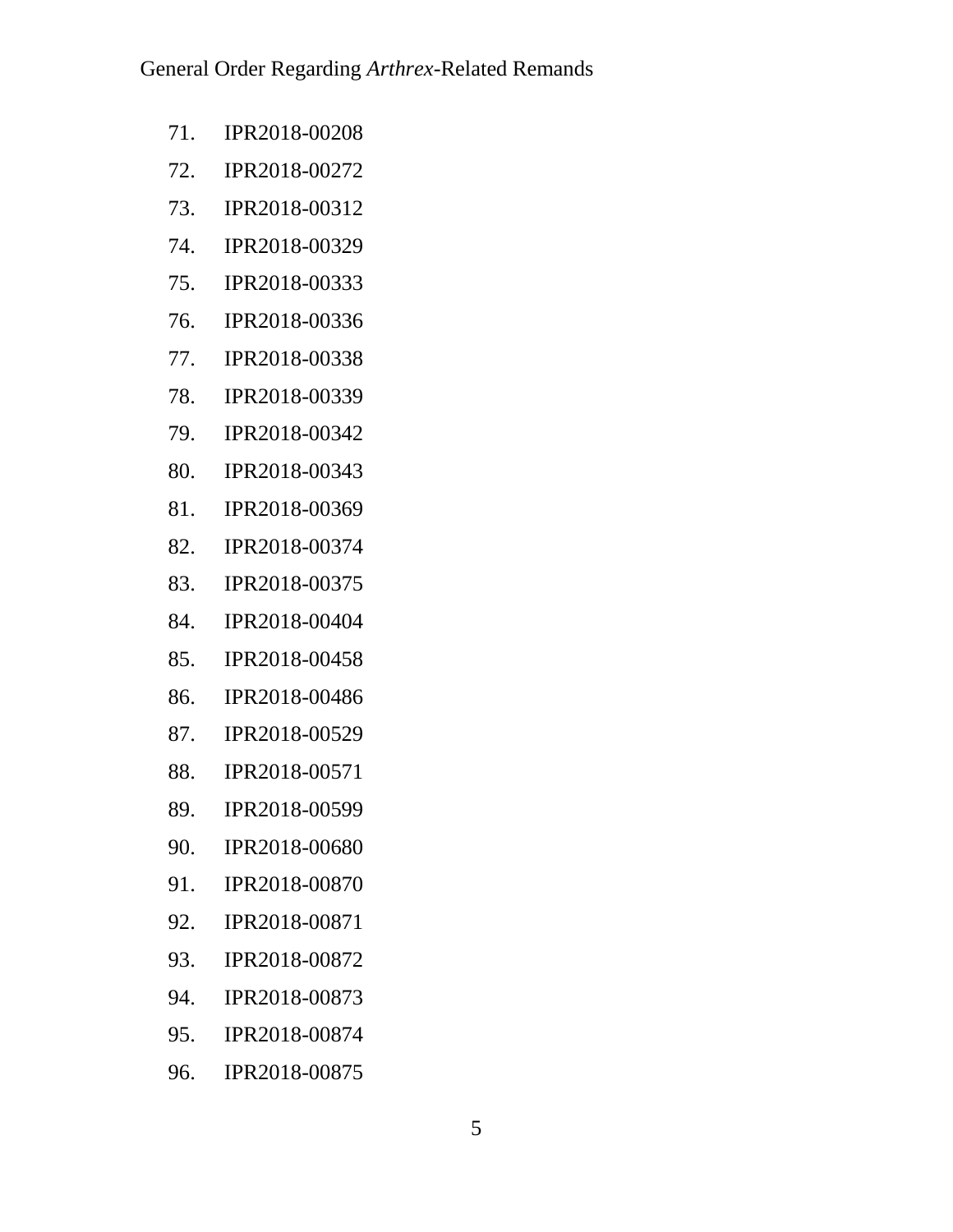- 71. IPR2018-00208
- 72. IPR2018-00272
- 73. IPR2018-00312
- 74. IPR2018-00329
- 75. IPR2018-00333
- 76. IPR2018-00336
- 77. IPR2018-00338
- 78. IPR2018-00339
- 79. IPR2018-00342
- 80. IPR2018-00343
- 81. IPR2018-00369
- 82. IPR2018-00374
- 83. IPR2018-00375
- 84. IPR2018-00404
- 85. IPR2018-00458
- 86. IPR2018-00486
- 87. IPR2018-00529
- 88. IPR2018-00571
- 89. IPR2018-00599
- 90. IPR2018-00680
- 91. IPR2018-00870
- 92. IPR2018-00871
- 93. IPR2018-00872
- 94. IPR2018-00873
- 95. IPR2018-00874
- 96. IPR2018-00875